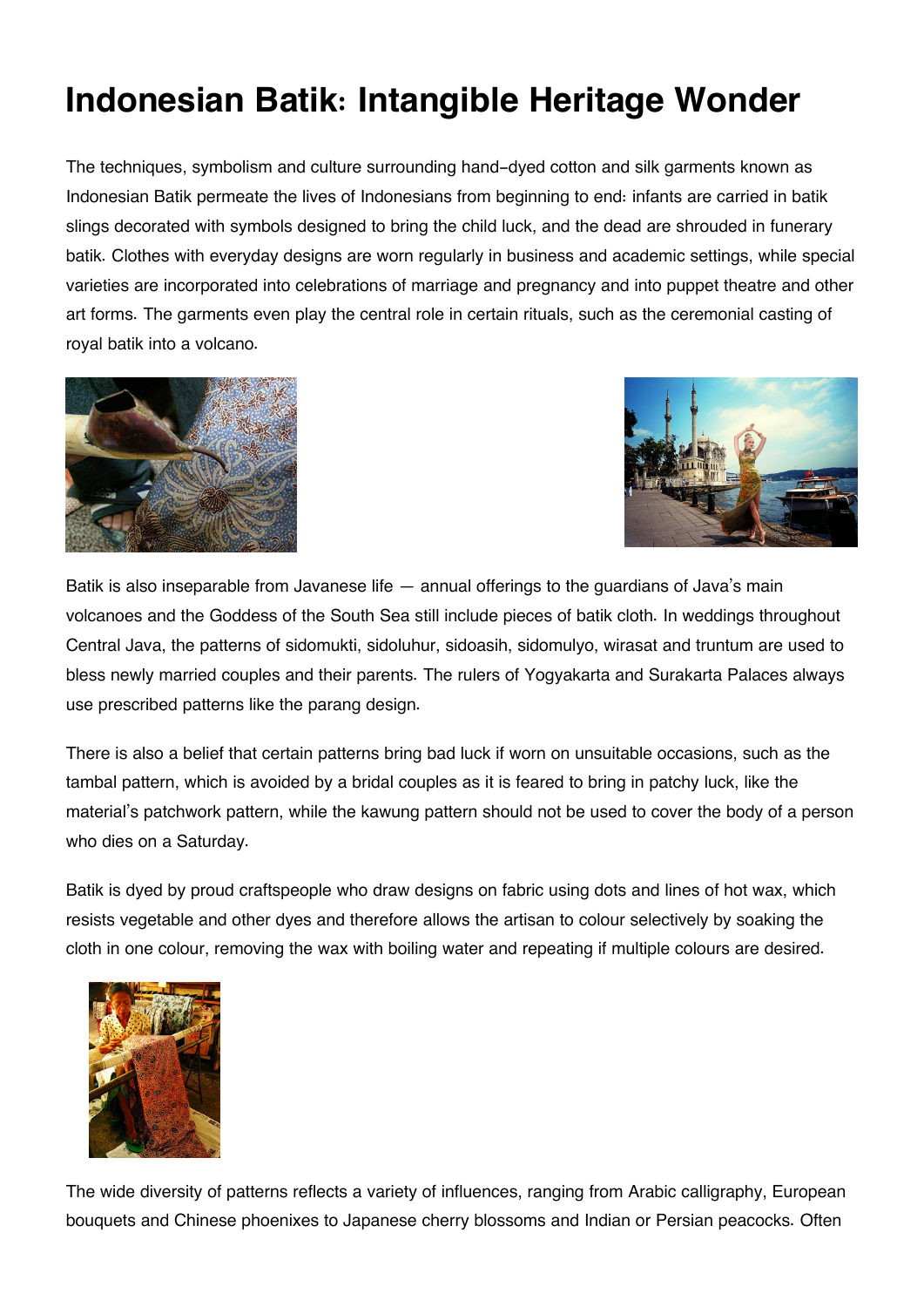## **Indonesian Batik: Intangible Heritage Wonder**

The techniques, symbolism and culture surrounding hand-dyed cotton and silk garments known as Indonesian Batik permeate the lives of Indonesians from beginning to end: infants are carried in batik slings decorated with symbols designed to bring the child luck, and the dead are shrouded in funerary batik. Clothes with everyday designs are worn regularly in business and academic settings, while special varieties are incorporated into celebrations of marriage and pregnancy and into puppet theatre and other art forms. The garments even play the central role in certain rituals, such as the ceremonial casting of royal batik into a volcano.





Batik is also inseparable from Javanese life — annual offerings to the guardians of Java's main volcanoes and the Goddess of the South Sea still include pieces of batik cloth. In weddings throughout Central Java, the patterns of sidomukti, sidoluhur, sidoasih, sidomulyo, wirasat and truntum are used to bless newly married couples and their parents. The rulers of Yogyakarta and Surakarta Palaces always use prescribed patterns like the parang design.

There is also a belief that certain patterns bring bad luck if worn on unsuitable occasions, such as the tambal pattern, which is avoided by a bridal couples as it is feared to bring in patchy luck, like the material's patchwork pattern, while the kawung pattern should not be used to cover the body of a person who dies on a Saturday.

Batik is dyed by proud craftspeople who draw designs on fabric using dots and lines of hot wax, which resists vegetable and other dyes and therefore allows the artisan to colour selectively by soaking the cloth in one colour, removing the wax with boiling water and repeating if multiple colours are desired.



The wide diversity of patterns reflects a variety of influences, ranging from Arabic calligraphy, European bouquets and Chinese phoenixes to Japanese cherry blossoms and Indian or Persian peacocks. Often